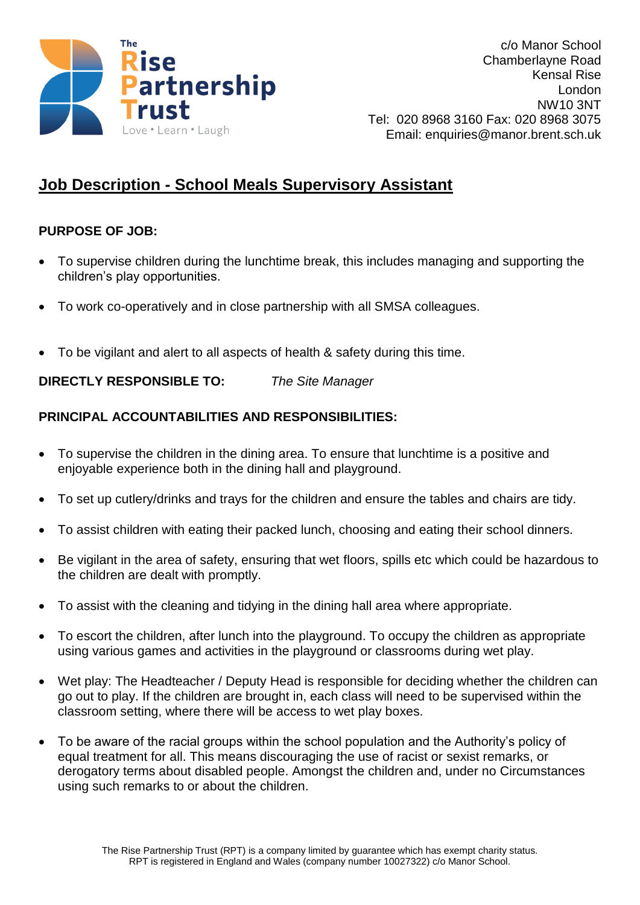

## **Job Description - School Meals Supervisory Assistant**

## **PURPOSE OF JOB:**

- To supervise children during the lunchtime break, this includes managing and supporting the children's play opportunities.
- To work co-operatively and in close partnership with all SMSA colleagues.
- To be vigilant and alert to all aspects of health & safety during this time.

**DIRECTLY RESPONSIBLE TO:** *The Site Manager*

## **PRINCIPAL ACCOUNTABILITIES AND RESPONSIBILITIES:**

- To supervise the children in the dining area. To ensure that lunchtime is a positive and enjoyable experience both in the dining hall and playground.
- To set up cutlery/drinks and trays for the children and ensure the tables and chairs are tidy.
- To assist children with eating their packed lunch, choosing and eating their school dinners.
- Be vigilant in the area of safety, ensuring that wet floors, spills etc which could be hazardous to the children are dealt with promptly.
- To assist with the cleaning and tidying in the dining hall area where appropriate.
- To escort the children, after lunch into the playground. To occupy the children as appropriate using various games and activities in the playground or classrooms during wet play.
- Wet play: The Headteacher / Deputy Head is responsible for deciding whether the children can go out to play. If the children are brought in, each class will need to be supervised within the classroom setting, where there will be access to wet play boxes.
- To be aware of the racial groups within the school population and the Authority's policy of equal treatment for all. This means discouraging the use of racist or sexist remarks, or derogatory terms about disabled people. Amongst the children and, under no Circumstances using such remarks to or about the children.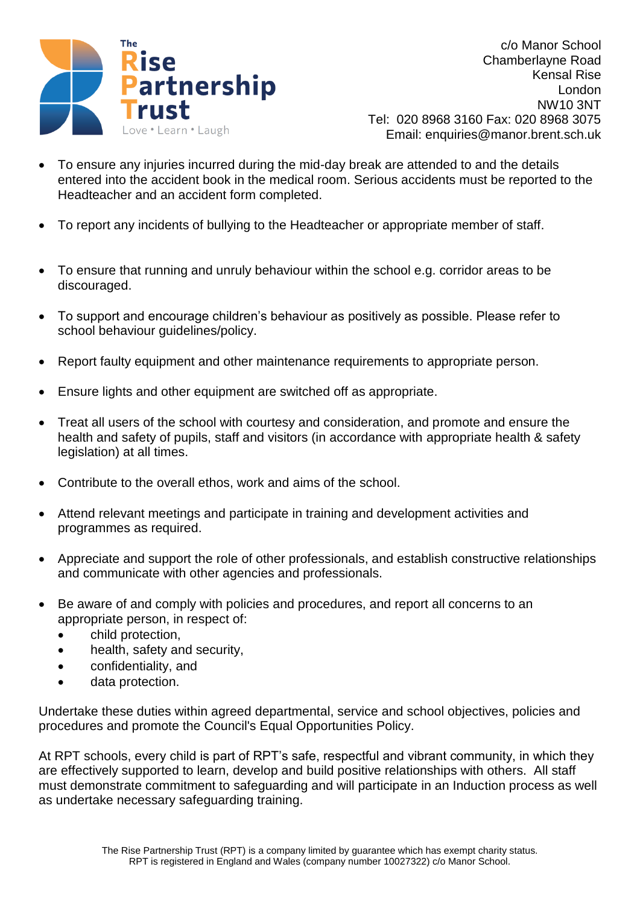

c/o Manor School Chamberlayne Road Kensal Rise London NW10 3NT Tel: 020 8968 3160 Fax: 020 8968 3075 Email: enquiries@manor.brent.sch.uk

- To ensure any injuries incurred during the mid-day break are attended to and the details entered into the accident book in the medical room. Serious accidents must be reported to the Headteacher and an accident form completed.
- To report any incidents of bullying to the Headteacher or appropriate member of staff.
- To ensure that running and unruly behaviour within the school e.g. corridor areas to be discouraged.
- To support and encourage children's behaviour as positively as possible. Please refer to school behaviour guidelines/policy.
- Report faulty equipment and other maintenance requirements to appropriate person.
- Ensure lights and other equipment are switched off as appropriate.
- Treat all users of the school with courtesy and consideration, and promote and ensure the health and safety of pupils, staff and visitors (in accordance with appropriate health & safety legislation) at all times.
- Contribute to the overall ethos, work and aims of the school.
- Attend relevant meetings and participate in training and development activities and programmes as required.
- Appreciate and support the role of other professionals, and establish constructive relationships and communicate with other agencies and professionals.
- Be aware of and comply with policies and procedures, and report all concerns to an appropriate person, in respect of:
	- child protection,
	- health, safety and security,
	- confidentiality, and
	- data protection.

Undertake these duties within agreed departmental, service and school objectives, policies and procedures and promote the Council's Equal Opportunities Policy.

At RPT schools, every child is part of RPT's safe, respectful and vibrant community, in which they are effectively supported to learn, develop and build positive relationships with others. All staff must demonstrate commitment to safeguarding and will participate in an Induction process as well as undertake necessary safeguarding training.